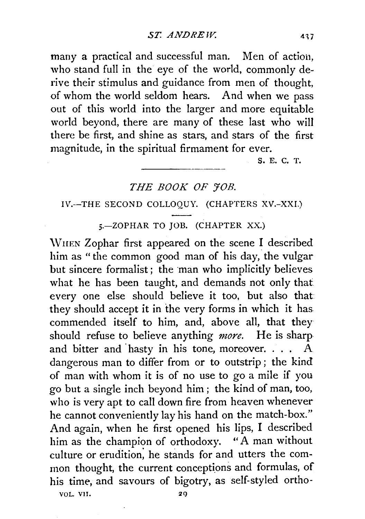many a practical and successful man. Men of action, who stand full in the eye of the world, commonly derive their stimulus and guidance from men of thought, of whom the world seldom hears. And when we pass out of this world into the larger and more equitable world beyond, there are many of these last who will there be first, and shine as stars, and stars of the first magnitude, in the spiritual firmament for ever.

S. E. C. T.

## THE BOOK OF *FOB.*

## IV.--THE SECOND COLLOQUY. (CHAPTERS XV.-XXI.)

5.-ZOPHAR TO JOB. (CHAPTER XX.)

\VIIEN Zophar first appeared on the scene I described him as "the common good man of his day, the vulgar but sincere formalist; the man who implicitly believes what he has been taught, and demands not only that every one else should believe it too, but also that they should accept it in the very forms in which it has commended itself to him, and, above all, that they should refuse to believe anything *more.* He is sharp and bitter and hasty in his tone, moreover. . . .  $A$ dangerous man to differ from or to outstrip; the kind of man with whom it is of no use to go a mile if you go but a single inch beyond him; the kind of man, too, who is very apt to call down fire from heaven whenever he cannot conveniently lay his hand on the match-box." And again, when he first opened his lips, I described him as the champion of orthodoxy. "A man without culture or erudition; he stands for and utters the common thought, the current conceptions and formulas, of his time, and savours of bigotry, as self-styled ortho-

VOL. VII. 2C)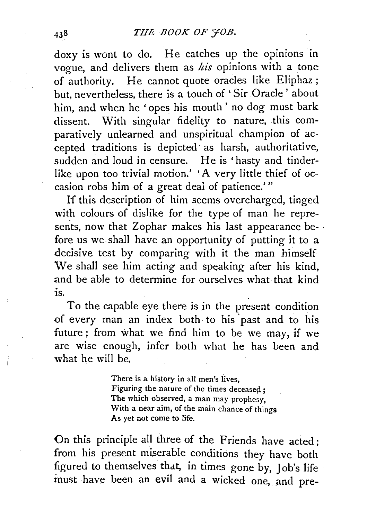doxy is wont to do. He catches up the opinions in vogue, and delivers them as *his* opinions with a tone of authority. He cannot quote oracles like Eliphaz; but, nevertheless, there is a touch of ' Sir Oracle ' about him, and when he 'opes his mouth ' no dog must bark dissent. With singular fidelity to nature, this comparatively unlearned and unspiritual champion of accepted traditions is depicted as harsh, authoritative, sudden and loud in censure. He is 'hasty and tinderlike upon too trivial motion.' 'A very little thief of occasion robs him of a great deal of patience.' "

If this description of him seems overcharged, tinged with colours of dislike for the type of man he represents, now that Zophar makes his last appearance before us we shall have an opportunity of putting it to a decisive test by comparing with it the man himself We shall see him acting and speaking after his kind, and be able to determine for ourselves what that kind  $i<sub>S</sub>$ 

To the capable eye there is in the present condition of every man an index both to his past and to his future; from what we find him to be we may, if we are wise enough, infer both what he has been and what he will be.

> There is a history in all men's lives. Figuring the nature of the times deceased: The which observed, a man may prophesy, With a near aim, of the main chance of things As yet not come to life.

On this principle all three of the Friends have acted; from his present miserable conditions they have both figured to themselves that, in times gone by, Job's life must have been an evil and a wicked one, and pre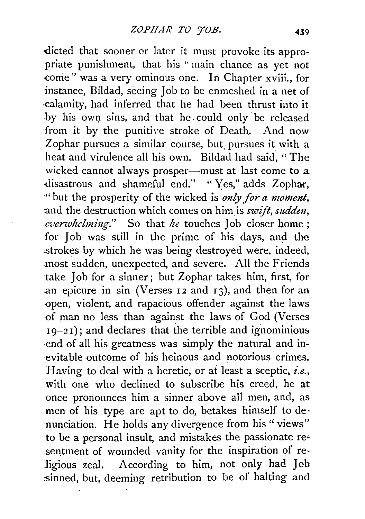dicted that sooner or later it must provoke its appropriate punishment, that his " main chance as yet not come" was a very ominous one. In Chapter xviii., for instance, Bildad, seeing Job to be enmeshed in a net of ·calamity, had inferred that he had been thrust into it by his own sins, and that he could only be released from it by the punitive stroke of Death. And now Zophar pursues a similar course, but pursues it with a heat and virulence all his own. Bildad had said, "The wicked cannot always prosper---must at last come to a disastrous and shameful end." "Yes," adds Zophar, ·"but the prosperity of the wicked is *only for a -moment,*  :and the destruction which comes on him is *swift, sudden, cverwhelming.*" So that *he* touches Job closer home; for Job was still in the prime of his days, and the :strokes by which he was being destroyed were, indeed, most sudden, unexpected, and severe. All the Friends take Job for a sinner ; but Zophar takes him, first, for an epicure in sin (Verses  $12$  and  $13$ ), and then for an <>pen, violent, and rapacious offender against the laws -of man no less than against the laws of God (Verses  $19-21$ ; and declares that the terrible and ignominious -end of all his greatness was simply the natural and in- ·evitable outcome of his heinous and notorious crimes. Having to deal with a heretic, or at least a sceptic, *i.e.,*  with one who declined to subscribe his creed, he at once pronounces him a sinner above all men, and, as men of his type are apt to do, betakes himself to denunciation. He holds any divergence from his "views" to be a personal insult, and mistakes the passionate resentment of wounded vanity for the inspiration of religious zeal. According to him, not only had Jeb sinned, but, deeming retribution to be of halting and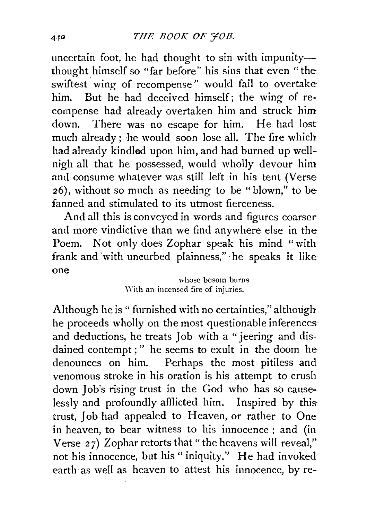uncertain foot, he had thought to sin with impunitythought himself so "far before" his sins that even "the swiftest wing of recompense" would fail to overtake him. But he had deceived himself; the wing of re· cornpense had already overtaken him and struck him down. There was no escape for him. He had lost much already; he would soon lose all. The fire which had already kindled upon him, and had burned up wellnigh all that he possessed, would wholly devour him and consume whatever was still left in his tent (Verse 26), without so much as needing to be "blown," to be fanned and stimulated to its utmost fierceness.

And all this is conveyed in words and figures coarser and more vindictive than we find anywhere else in the Poem. Not only does Zophar speak his mind "with frank and 'with uncurbed plainness,"· he speaks it like one

> whose bosom burns \Vith an incensed fire of injuries.

Although he is " furnished with no certainties," although he proceeds wholly on the most questionable inferences and deductions, he treats Job with a "jeering and disdained contempt; " he seems to exult in the doom he denounces on him. Perhaps the most pitiless and venomous stroke in his oration is his attempt to crush down Job's rising trust in the God who has so causelessly and\_ profoundly afflicted him. Inspired by thistrust, Job had appealed to Heaven, or rather to One in heaven, to bear witness to his innocence ; and (in Verse 27) Zophar retorts that " the heavens will reveal," not his innocence, but his " iniquity." He had invoked earth as well as heaven to attest his innocence, by re--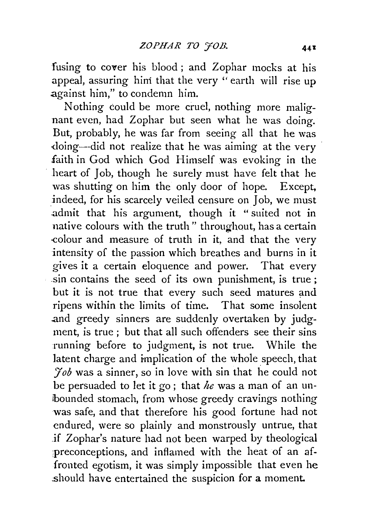fusing to cover his blood ; and Zophar mocks at his appeal, assuring hini that the very " earth will rise up against him," to condemn him.

Nothing could be more cruel, nothing more malignant even, had Zophar but seen what he was doing. But, probably, he was far from seeing all that he was -doing--did not realize that he was aiming at the very faith in God which God Himself was evoking in the heart of Job, though he surely must have felt that he was shutting on him the only door of hope. Except, indeed, for his scarcely veiled censure on Job, we must .admit that his argument, though it " suited not in native colours with the truth" throughout, has a certain ·colour and measure of truth in it, and that the very intensity of the passion which breathes and burns in it gives it a certain eloquence and power. That every .sin contains the seed of its own punishment, is true ; but it is not true that every such seed matures and ripens within the limits of time. That some insolent .and greedy sinners are suddenly overtaken by judgment, is true ; but that all such offenders see their sins running before to judgment, is not true. While the latent charge and implication of the whole speech, that *Fob* was a sinner, so in love with sin that he could not be persuaded to let it go ; that *he* was a man of an unibounded stomach, from whose greedy cravings nothing was safe, and that therefore his good fortune had not endured, were so plainly and monstrously untrue, that if Zophar's nature had not been warped by theological preconceptions, and inflamed with the heat of an affronted egotism, it was simply impossible that even he should have entertained the suspicion for a moment.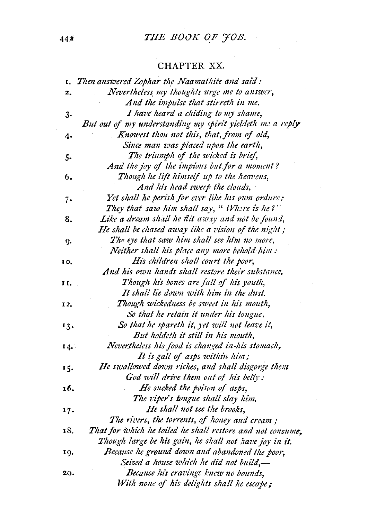# **442** *THE BOOK OF JOB.*

# CHAPTER XX.

|     | I. Then answered Zophar the Naamathite and said:           |
|-----|------------------------------------------------------------|
| 2.  | Nevertheless my thoughts urge me to answer,                |
|     | And the impulse that stirreth in me.                       |
| 3.  | I have heard a chiding to my shame,                        |
|     | But out of my understanding my spirit yieldeth me a reply  |
| 4.  | Knowest thou not this, that, from of old,                  |
|     | Since man was placed upon the earth,                       |
| 5.  | The triumph of the wicked is brief,                        |
|     | And the joy of the impious but for a moment?               |
| 6.  | Though he lift himself up to the heavens,                  |
|     | And his head sweep the clouds,                             |
| 7.  | Yet shall he perish for ever like his own ordure:          |
|     | They that saw him shall say, " Where is he?"               |
| 8.  | Like a dream shall he flit away and not be found,          |
|     | He shall be chased away like a vision of the night;        |
| g.  | The eye that saw him shall see him no more,                |
|     | Neither shall his place any more behold him:               |
| IO. | His children shall court the poor,                         |
|     | And his own hands shall restore their substance.           |
| 11. | Though his bones are full of his youth,                    |
|     | It shall lie down with him in the dust.                    |
| 12. | Though wickedness be sweet in his mouth,                   |
|     | So that he retain it under his tongue,                     |
| 13. | So that he spareth it, yet will not leave it,              |
|     | But holdeth it still in his mouth,                         |
| 14. | Nevertheless his food is changed in his stomach,           |
|     | It is gall of asps within him;                             |
| 15. | He swallowed down riches, and shall disgorge thent         |
|     | God will drive them out of his belly:                      |
| 16. | He sucked the poison of asps,                              |
|     | The viper's tongue shall slay him.                         |
| 17. | He shall not see the brooks,                               |
|     | The rivers, the torrents, of honey and cream;              |
| 18. | That for which he toiled he shall restore and not consume, |
|     | Though large be his gain, he shall not have joy in it.     |
| 19. | Because he ground down and abandoned the poor,             |
|     | Seized a house which he did not build,-                    |
| 20. | Because his cravings knew no bounds,                       |
|     | With none of his delights shall he escape;                 |

 $\mathbf{r}$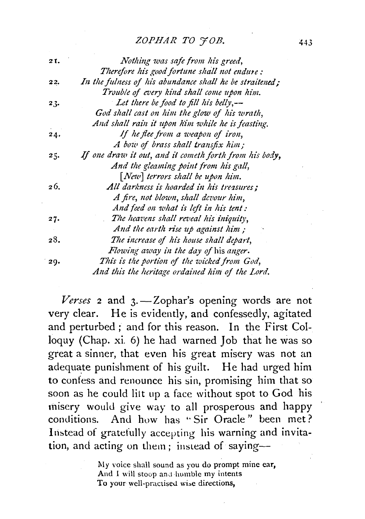#### *ZOPHAR TO 'JOB.*

| 21. | Nothing was safe from his greed,                        |
|-----|---------------------------------------------------------|
|     | Therefore his good fortune shall not endure:            |
| 22. | In the fulness of his abundance shall he be straitened; |
|     | Trouble of every kind shall come upon him.              |
| 23. | Let there be food to fill his belly,—                   |
|     | God shall cast on him the glow of his wrath,            |
|     | And shall rain it upon him while he is feasting.        |
| 24. | If he flee from a weapon of iron,                       |
|     | A bow of brass shall transfix him;                      |
| 25. | If one draw it out, and it cometh forth from his body,  |
|     | And the gleaming point from his gall,                   |
|     | $[Neu]$ terrors shall be upon him.                      |
| 26. | All darkness is hoarded in his treasures:               |
|     | A fire, not blown, shall devour him,                    |
|     | And feed on what is left in his tent :                  |
| 27. | The heavens shall reveal his iniquity,                  |
|     | And the earth rise up against him;                      |
| 28. | The increase of his house shall depart,                 |
|     | Flowing away in the day of his anger.                   |
| 29. | This is the portion of the wicked from God,             |
|     | And this the heritage ordained him of the Lord.         |

Verses 2 and 3. - Zophar's opening words are not very clear. He is evidently, and confessedly, agitated and perturbed; and for this reason. In the First Colloquy (Chap. xi. 6) he had warned Job that he was so great a sinner, that even his great misery was not an adequate punishment of his guilt. He had urged him to confess and renounce his sin, promising him that so soon as he could lilt up a face without spot to God his misery would give way to all prosperous and happy conditions. And how has "Sir Oracle" been met? Instead of gratefully accepting his warning and invitation, and acting on them; instead of saying-

> My voice shall sound as you do prompt mine ear, And I will stoop and humble my intents To your well-practised wise directions,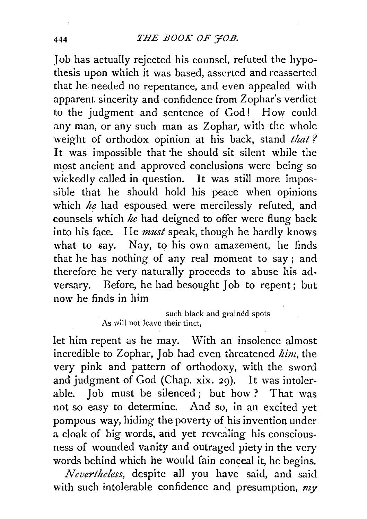Job has actually rejected his counsel, refuted the hypothesis upon which it was based, asserted and reasserted that he needed no repentance, and even appealed with apparent sincerity and confidence from Zophar's verdict to the judgment and sentence of God! How could any man, or any such man as Zophar, with the whole weight of orthodox opinion at his back, stand *that ?*  It was impossible that ·he should sit silent while the most ancient and approved conclusions were being so wickedly called in question. It was still more impossible that he should hold his peace when opinions which *he* had espoused were mercilessly refuted, and counsels which *he* had deigned to offer were flung back into his face. He *must* speak, though he hardly knows what to say. Nay, to his own amazement, he finds that he has nothing of any real moment to say ; and therefore he very naturally proceeds to abuse his adversary. Before, he had besought Job to repent; but now he finds in him

### such black and grained spots As will not leave their tinct,

let him repent as he may. With an insolence almost incredible to Zophar, Job had even threatened *him,* the very pink and pattern of orthodoxy, with the sword and judgment of God (Chap. xix. 29). It was intolerable. Job must be silenced ; but how ? That was not so easy to determine. And so, in an excited yet pompous way, hiding the poverty of his invention under a cloak of big words, and yet revealing his consciousness of wounded vanity and outraged piety in the very words behind which he would fain conceal it, he begins.

*Nevertheless,* despite all you have said, and said with such intolerable confidence and presumption, *my*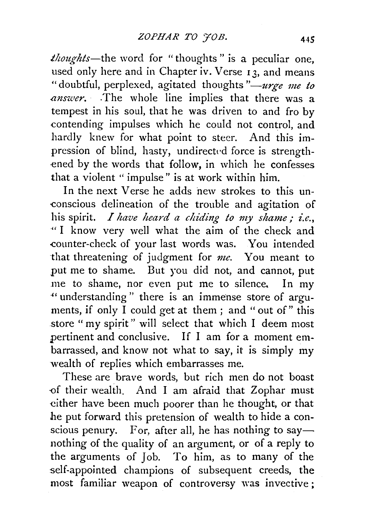*thoughts-the* word for "thoughts " is a peculiar one, used only here and in Chapter iv. Verse  $\overline{13}$ , and means "doubtful, perplexed, agitated thoughts *"-urge me to mzswer.* .The whole line implies that there was a tempest in his soul, that he was driven to and fro by contending impulses which he could not control, and hardly knew for what point to steer. And this impression of blind, hasty, undirected force is strengthened by the words that follow, in which he confesses that a violent " impulse" is at work within him.

In the next Verse he adds new strokes to this unconscious delineation of the trouble and agitation of his spirit. *I have heard a chiding to my shame; i.e.*, "I know very well what the aim of the check and counter-check of your last words was. You intended that threatening of judgment for *me.* You meant to put me to shame. But you did not, and cannot, put me to shame, nor even put me to silence. In my ·'' understanding " there is an immense store of arguments, if only  $\overline{I}$  could get at them; and "out of" this store " my spirit" will select that which I deem most pertinent and conclusive. If I am for a moment embarrassed, and know not what to say, it is simply my wealth of replies which embarrasses me.

These are brave words, but rich men do not boast -of their wealth. And I am afraid that Zophar must either have been much poorer than he thought, or that he put forward this pretension of wealth to hide a conscious penury. For, after all, he has nothing to say nothing of the quality of an argument, or of a reply to the arguments of Job. To him, as to many of the self-appointed champions of subsequent creeds, the most familiar weapon of cohtroversy was invective;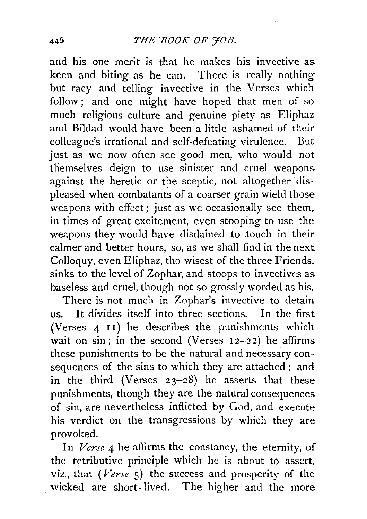and his one merit is that he makes his invective as keen and biting as he can. There is really nothing but racy and telling invective in the Verses which follow; and one might have hoped that men of so much religious culture and genuine piety as Eliphaz and Bildad would have been a little ashamed of their colleague's irrational and self-defeating virulence. But just as we now often see good men, who would not themselves deign to use sinister and cruel weapons. against the heretic or the sceptic, not altogether displeased when combatants of a coarser grain wield those weapons with effect; just as we occasionally see them, in times of great excitement, even stooping to use the weapons they would have disdained to touch in their calmer and better hours, so, as we shall find in the next Colloquy, even Eliphaz, the wisest of the three Friends, sinks to the level of Zophar, and stoops to invectives as. baseless and cruel, though not so grossly worded as his.

There is not much in Zophar's invective to detain us. It divides itself into three sections. In the first (Verses  $4$ -11) he describes the punishments which wait on sin; in the second (Verses  $12-22$ ) he affirms. these punishments to be the natural and necessary consequences of the sins to which they are attached; and in the third (Verses  $23-28$ ) he asserts that these punishments, though they are the natural consequences. of sin, are nevertheless inflicted by God, and execute his verdict on the transgressions by which they are provoked.

In *Verse* 4 he affirms the constancy, the eternity, of the retributive principle which he is about to assert, viz., that *(Verse* s) the success and prosperity of the wicked are short-lived. The higher and the more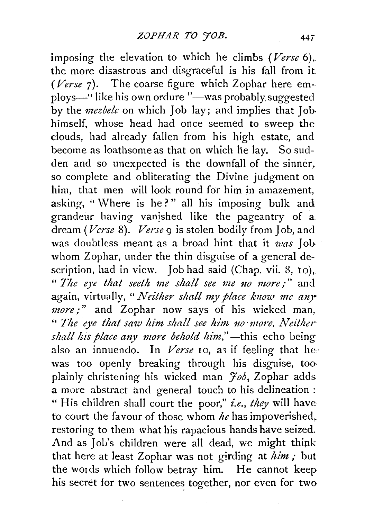imposing the elevation to which he climbs *(Verse* 6),. the more disastrous and disgraceful is his fall from it *(Verse* 7). The coarse figure which Zophar here employs-" like his own ordure "-was probably suggested by the *mezbele* on which Job lay; and implies that Jobhimself, whose head had once seemed to sweep the clouds, had already fallen from his high estate, and become as loathsome as that on which he lay. So sudden and so unexpected is the downfall of the sinner. so complete and obliterating the Divine judgment on him, that men will look round for him in amazement, asking, "Where is he?" all his imposing bulk and grandeur having vanished like the pageantry of a dream *(Verse* 8). *Verse* 9 is stolen bodily from Job, and was doubtless meant as a broad hint that it *was* Jobwhom Zophar, under the thin disguise of a general description, had in view. Job had said (Chap. vii. 8, 10), " The eye that seeth me shall see me no more;" and again, virtually, "*Neither shall my place know me any more;"* and Zophar now says of his wicked man, " The eye that saw him shall see him no more, Neither shall his place any more behold him,"—this echo being also an innuendo. In *Verse* 10, as if feeling that hewas too openly breaking through his disguise, too plainly christening his wicked man *Job,* Zophar adds a more abstract and general touch to his delineation : " His children shall court the poor," *i.e., they* will have to court the favour of those whom *he* has impoverished,. restoring to them what his rapacious hands have seized. And as Job's children were all dead, we might think that here at least Zophar was not girding at *him*; but the words which follow betray him. He cannot keep his secret for two sentences together, nor even for two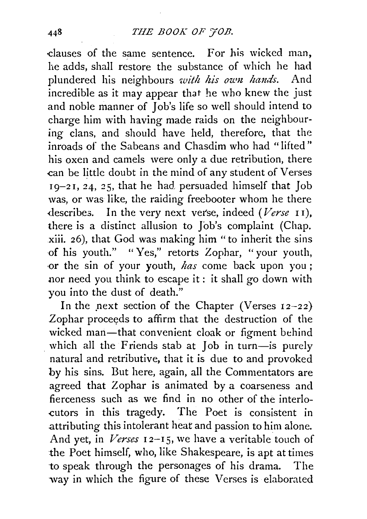-clauses of the same sentence. For his wicked man, he adds, shall restore the substance of which he had plundered his neighbours *with his own hands*. And incredible as it may appear that he who knew the just and noble manner of Job's life so well should intend to charge him with having made raids on the neighbouring clans, and should have held, therefore, that the inroads of the Sabeans and Chasdim who had "lifted" his oxen and camels were only a due retribution, there .can be little doubt in the mind of any student of Verses  $19-21$ , 24, 25, that he had persuaded himself that Job was, or was like, the raiding freebooter whom he there .describes. In the very next verse, indeed *(Verse* I I), there is a distinct allusion to Job's complaint (Chap. xiii. 26), that God was making him "to inherit the sins of his youth." "Yes," retorts Zophar, "your youth, ·Or the sin of your youth, *has* come back upon you ; nor need you think to escape it : it shall go down with you into the dust of death."

In the next section of the Chapter (Verses  $12-22$ ) Zophar proceeds to affirm that the destruction of the wicked man-that convenient cloak or figment behind which all the Friends stab at Job in turn-is purely natural and retributive, that it is due to and provoked by his sins. But here, again, all the Commentators are agreed that Zophar is animated by a coarseness and fierceness such as we find in no other of the interlo- -cutors in this tragedy. The Poet is consistent in attributing this intolerant heat and passion to him alone. And yet, in *Verses* 12–15, we have a veritable touch of the Poet himself, who, like Shakespeare, is apt at times to speak through the personages of his drama. The way in which the figure of these Verses is elaborated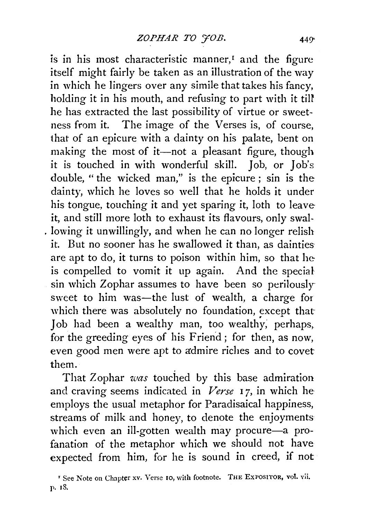is in his most characteristic manner, $<sup>I</sup>$  and the figure</sup> itself might fairly be taken as an illustration of the way in which he lingers over any simile that takes his fancy, holding it in his mouth, and refusing to part with it till he has extracted the last possibility of virtue or sweetness from it. The image of the Verses is, of course, that of an epicure with a dainty on his palate, bent on making the most of it-not a pleasant figure, though it is touched in with wonderful skill. Job, or Job's double, " the wicked man," is the epicure ; sin is the dainty, which he loves so well that he holds it under his tongue, touching it and yet sparing it, loth to leave it, and still more loth to exhaust its flavours, only swal- . lowing it unwillingly, and when he can no longer relish it. But no sooner has he swallowed it than, as dainties are apt to do, it turns to poison within him, so that he is compelled to vomit it up again. And the special sin which Zophar assumes to have been so perilously sweet to him was-the lust of wealth, a charge for which there was absolutely no foundation, except that Job had been a wealthy man, too wealthy; perhaps, for the greeding eyes of his Friend; for then, as now, even good men were apt to admire riches and to covet them.

That Zophar *was* touched by this base admiration and craving seems indicated in *Verse* 17, in which he employs the usual metaphor for Paradisaical happiness, streams of milk and honey, to denote the enjoyments which even an ill-gotten wealth may procure-a profanation of the metaphor which we should not have expected from him, for he is sound in creed, if not

<sup>&</sup>lt;sup>r</sup> See Note on Chapter xv. Verse 10, with footnote. THE ExPOSITOR, vol. vii. p. 18.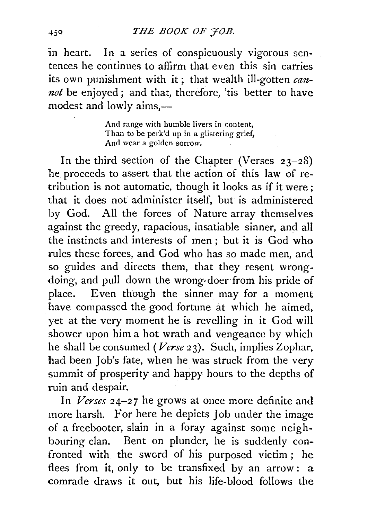in heart. In a series of conspicuously vigorous sentences he continues to affirm that even this sin carries its own punishment with it; that wealth ill-gotten *cmznot* be enjoyed; and that, therefore, 'tis better to have modest and lowly aims,-

> And range with humble livers in content, Than to be perk'd up in a glistering grief, And wear a golden sorrow.

In the third section of the Chapter (Verses  $23-28$ ) he proceeds to assert that the action of this law of retribution is not automatic, though it looks as if it were ; that it does not administer itself, but is administered by God. All the forces of Nature array themselves against the greedy, rapacious, insatiable sinner, and all the instincts and interests of men ; but it is God who rules these forces, and God who has so made men, and so guides and directs them, that they resent wrongdoing, and pull down the wrong-doer from his pride of place. Even though the sinner may for a moment have compassed the good fortune at which he aimed, yet at the very moment he is revelling in it God will shower upon him a hot wrath and vengeance by which he shall be consumed *(Verse* 23). Such, implies Zophar, had been Job's fate, when he was struck from the very summit of prosperity and happy hours to the depths of ruin and despair.

In *Verses* 24-27 he grows at once more definite and more harsh. For here he depicts Job under the image of a freebooter, slain in a foray against some neighbouring clan. Bent on plunder, he is suddenly confronted with the sword of his purposed victim ; he flees from it, only to be transfixed by an arrow: a comrade draws it out, but his life-blood follows the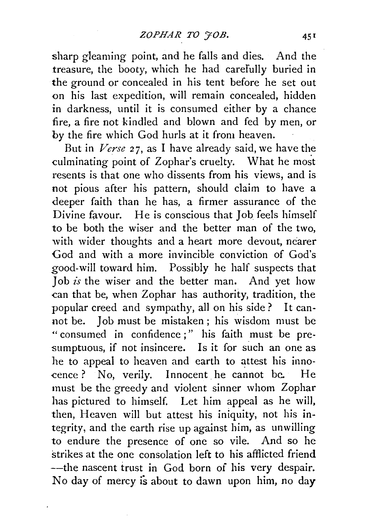sharp gleaming point, and he falls and dies. And the treasure, the booty, which he had carefully buried in the ground or concealed in his tent before he set out on his last expedition, will remain concealed, hidden in darkness, until it is consumed either by a chance fire, a fire not kindled and blown and fed by men, or by the fire which God hurls at it from heaven.

But in *Verse* 27, as I have already said, we have the culminating point of Zophar's cruelty. What he most resents is that one who dissents from his views, and is not pious after his pattern, should claim to have a deeper faith than he has, a firmer assurance of the Divine favour. He is conscious that Job feels himself to be both the wiser and the better man of the two, with wider thoughts and a heart more devout, nearer God and with a more invincible conviction of God's good-will toward him. Possibly he half suspects that Job *is* the wiser and the better man. And yet how can that be, when Zophar has authority, tradition, the popular creed and sympathy, all on his side? It cannot be. Job must be mistaken; his wisdom must be " consumed in confidence;" his faith must be presumptuous, if not insincere. Is it for such an one as he to appeal to heaven and earth to attest his innocence? No, verily. Innocent he cannot be. He must be the greedy and violent sinner whom Zophar has pictured to himself. Let him appeal as he will, then, Heaven will but attest his iniquity, not his integrity, and the earth rise up against him, as unwilling to endure the presence of one so vile. And so he strikes at the one consolation left to his afflicted friend --the nascent trust in God born of his very despair. No day of mercy is about to dawn upon him, no day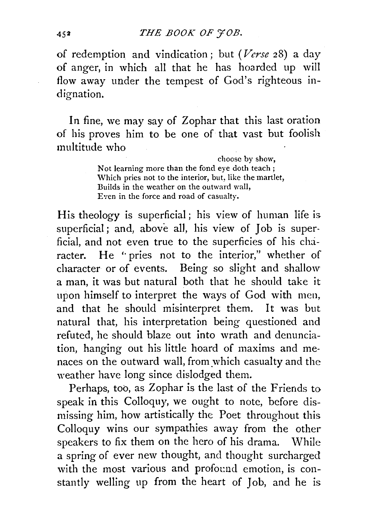## 452 *THE BOOK OF YOB.*

of redemption and vindication; but *(Verse* 28) a day of anger, in which all that he has hoarded up will flow away under the tempest of God's righteous indignation.

In fine, we may say of Zophar that this last oration of his proves him to be one of that vast but foolish multitude who

> choose by show, Not learning more than the fond eye doth teach; Which pries not to the interior, but, like the martlet, Builds in the weather on the outward wall, Even in the force and road of casualty.

His theology is superficial ; his view of human life is superficial; and, above all, his view of Job is superficial, and not even true to the superficies of his character. He "pries not to the interior," whether of character or of events. Being so slight and shallow a man, it was but natural both that he should take it upon himself to interpret the ways of God with men, and that he should misinterpret them. It was but natural that, his interpretation being questioned and refuted, he should blaze out into wrath and denunciation, hanging out his little hoard of maxims and menaces on the outward wall, from which casualty and the weather have long since dislodged them.

Perhaps, too, as Zophar is the last of the Friends to speak in this Colloquy, we ought to note, before dismissing him, how artistically the Poet throughout this Colloquy wins our sympathies away from the other speakers to fix them on the hero of his drama. While a spring of ever new thought, and thought surcharged with the most various and profound emotion, is constantly welling up from the heart of Job, and he is